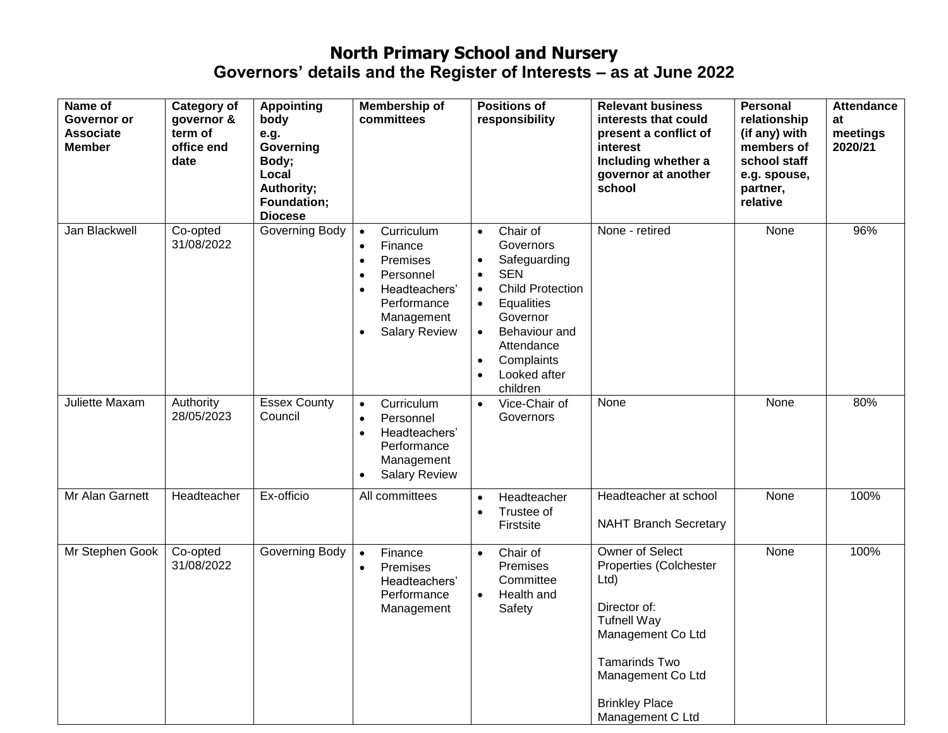| Name of<br>Governor or<br><b>Associate</b><br><b>Member</b> | <b>Category of</b><br>governor &<br>term of<br>office end<br>date | <b>Appointing</b><br>body<br>e.g.<br>Governing<br>Body;<br>Local<br>Authority;<br>Foundation;<br><b>Diocese</b> | Membership of<br>committees                                                                                                                                                           | <b>Positions of</b><br>responsibility                                                                                                                                                                                                                           | <b>Relevant business</b><br>interests that could<br>present a conflict of<br>interest<br>Including whether a<br>governor at another<br>school                                                  | <b>Personal</b><br>relationship<br>(if any) with<br>members of<br>school staff<br>e.g. spouse,<br>partner,<br>relative | <b>Attendance</b><br>at<br>meetings<br>2020/21 |
|-------------------------------------------------------------|-------------------------------------------------------------------|-----------------------------------------------------------------------------------------------------------------|---------------------------------------------------------------------------------------------------------------------------------------------------------------------------------------|-----------------------------------------------------------------------------------------------------------------------------------------------------------------------------------------------------------------------------------------------------------------|------------------------------------------------------------------------------------------------------------------------------------------------------------------------------------------------|------------------------------------------------------------------------------------------------------------------------|------------------------------------------------|
| Jan Blackwell                                               | Co-opted<br>31/08/2022                                            | Governing Body                                                                                                  | Curriculum<br>$\bullet$<br>Finance<br>$\bullet$<br>Premises<br>$\bullet$<br>Personnel<br>$\bullet$<br>Headteachers'<br>$\bullet$<br>Performance<br>Management<br><b>Salary Review</b> | Chair of<br>$\bullet$<br>Governors<br>Safeguarding<br>$\bullet$<br><b>SEN</b><br>$\bullet$<br><b>Child Protection</b><br>$\bullet$<br>Equalities<br>Governor<br>Behaviour and<br>$\bullet$<br>Attendance<br>Complaints<br>$\bullet$<br>Looked after<br>children | None - retired                                                                                                                                                                                 | None                                                                                                                   | 96%                                            |
| Juliette Maxam                                              | Authority<br>28/05/2023                                           | <b>Essex County</b><br>Council                                                                                  | Curriculum<br>$\bullet$<br>Personnel<br>$\bullet$<br>Headteachers'<br>$\bullet$<br>Performance<br>Management<br><b>Salary Review</b><br>$\bullet$                                     | Vice-Chair of<br>$\bullet$<br>Governors                                                                                                                                                                                                                         | None                                                                                                                                                                                           | None                                                                                                                   | 80%                                            |
| Mr Alan Garnett                                             | Headteacher                                                       | Ex-officio                                                                                                      | All committees                                                                                                                                                                        | Headteacher<br>$\bullet$<br>Trustee of<br>$\bullet$<br>Firstsite                                                                                                                                                                                                | Headteacher at school<br><b>NAHT Branch Secretary</b>                                                                                                                                          | None                                                                                                                   | 100%                                           |
| Mr Stephen Gook                                             | Co-opted<br>31/08/2022                                            | Governing Body                                                                                                  | Finance<br>$\bullet$<br>Premises<br>$\bullet$<br>Headteachers'<br>Performance<br>Management                                                                                           | Chair of<br>$\bullet$<br>Premises<br>Committee<br>Health and<br>$\bullet$<br>Safety                                                                                                                                                                             | Owner of Select<br>Properties (Colchester<br>Ltd<br>Director of:<br><b>Tufnell Way</b><br>Management Co Ltd<br>Tamarinds Two<br>Management Co Ltd<br><b>Brinkley Place</b><br>Management C Ltd | None                                                                                                                   | 100%                                           |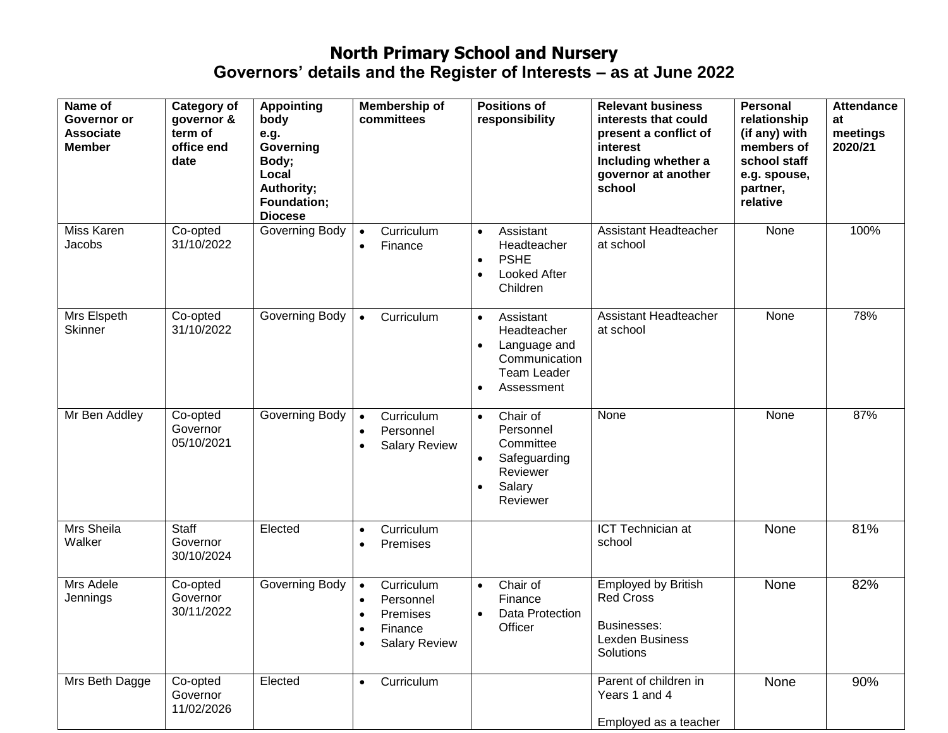| Name of<br>Governor or<br><b>Associate</b><br><b>Member</b> | Category of<br>governor &<br>term of<br>office end<br>date | <b>Appointing</b><br>body<br>e.g.<br>Governing<br>Body;<br>Local<br>Authority;<br>Foundation;<br><b>Diocese</b> | Membership of<br>committees                                                                                   | <b>Positions of</b><br>responsibility                                                                                                | <b>Relevant business</b><br>interests that could<br>present a conflict of<br>interest<br>Including whether a<br>governor at another<br>school | <b>Personal</b><br>relationship<br>(if any) with<br>members of<br>school staff<br>e.g. spouse,<br>partner,<br>relative | <b>Attendance</b><br>at<br>meetings<br>2020/21 |
|-------------------------------------------------------------|------------------------------------------------------------|-----------------------------------------------------------------------------------------------------------------|---------------------------------------------------------------------------------------------------------------|--------------------------------------------------------------------------------------------------------------------------------------|-----------------------------------------------------------------------------------------------------------------------------------------------|------------------------------------------------------------------------------------------------------------------------|------------------------------------------------|
| Miss Karen<br>Jacobs                                        | Co-opted<br>31/10/2022                                     | Governing Body                                                                                                  | Curriculum<br>$\bullet$<br>Finance<br>$\bullet$                                                               | Assistant<br>$\bullet$<br>Headteacher<br><b>PSHE</b><br>$\bullet$<br><b>Looked After</b><br>$\bullet$<br>Children                    | Assistant Headteacher<br>at school                                                                                                            | None                                                                                                                   | 100%                                           |
| Mrs Elspeth<br><b>Skinner</b>                               | Co-opted<br>31/10/2022                                     | Governing Body                                                                                                  | Curriculum<br>$\bullet$                                                                                       | Assistant<br>$\bullet$<br>Headteacher<br>Language and<br>$\bullet$<br>Communication<br><b>Team Leader</b><br>Assessment<br>$\bullet$ | Assistant Headteacher<br>at school                                                                                                            | None                                                                                                                   | 78%                                            |
| Mr Ben Addley                                               | Co-opted<br>Governor<br>05/10/2021                         | Governing Body                                                                                                  | Curriculum<br>$\bullet$<br>Personnel<br>$\bullet$<br><b>Salary Review</b><br>$\bullet$                        | Chair of<br>$\bullet$<br>Personnel<br>Committee<br>Safeguarding<br>Reviewer<br>Salary<br>$\bullet$<br>Reviewer                       | None                                                                                                                                          | None                                                                                                                   | 87%                                            |
| Mrs Sheila<br>Walker                                        | Staff<br>Governor<br>30/10/2024                            | Elected                                                                                                         | Curriculum<br>$\bullet$<br>Premises<br>$\bullet$                                                              |                                                                                                                                      | ICT Technician at<br>school                                                                                                                   | None                                                                                                                   | 81%                                            |
| Mrs Adele<br>Jennings                                       | Co-opted<br>Governor<br>30/11/2022                         | Governing Body                                                                                                  | Curriculum<br>$\bullet$<br>Personnel<br>$\bullet$<br>Premises<br>Finance<br><b>Salary Review</b><br>$\bullet$ | Chair of<br>$\bullet$<br>Finance<br>Data Protection<br>Officer                                                                       | <b>Employed by British</b><br><b>Red Cross</b><br>Businesses:<br>Lexden Business<br>Solutions                                                 | None                                                                                                                   | 82%                                            |
| Mrs Beth Dagge                                              | Co-opted<br>Governor<br>11/02/2026                         | Elected                                                                                                         | Curriculum<br>$\bullet$                                                                                       |                                                                                                                                      | Parent of children in<br>Years 1 and 4<br>Employed as a teacher                                                                               | None                                                                                                                   | 90%                                            |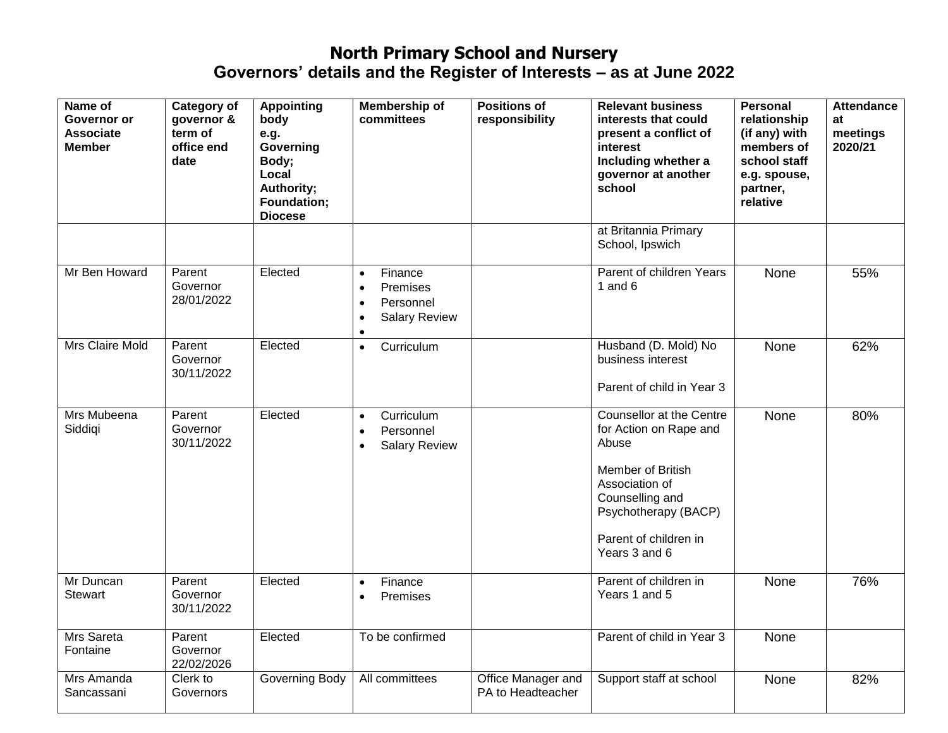| Name of<br>Governor or<br><b>Associate</b><br><b>Member</b> | <b>Category of</b><br>governor &<br>term of<br>office end<br>date | <b>Appointing</b><br>body<br>e.g.<br>Governing<br>Body;<br>Local<br>Authority;<br>Foundation;<br><b>Diocese</b> | <b>Membership of</b><br>committees                                                                           | <b>Positions of</b><br>responsibility   | <b>Relevant business</b><br>interests that could<br>present a conflict of<br>interest<br>Including whether a<br>governor at another<br>school                                           | <b>Personal</b><br>relationship<br>(if any) with<br>members of<br>school staff<br>e.g. spouse,<br>partner,<br>relative | <b>Attendance</b><br>at<br>meetings<br>2020/21 |
|-------------------------------------------------------------|-------------------------------------------------------------------|-----------------------------------------------------------------------------------------------------------------|--------------------------------------------------------------------------------------------------------------|-----------------------------------------|-----------------------------------------------------------------------------------------------------------------------------------------------------------------------------------------|------------------------------------------------------------------------------------------------------------------------|------------------------------------------------|
|                                                             |                                                                   |                                                                                                                 |                                                                                                              |                                         | at Britannia Primary<br>School, Ipswich                                                                                                                                                 |                                                                                                                        |                                                |
| Mr Ben Howard                                               | Parent<br>Governor<br>28/01/2022                                  | Elected                                                                                                         | Finance<br>$\bullet$<br>Premises<br>$\bullet$<br>Personnel<br>$\bullet$<br><b>Salary Review</b><br>$\bullet$ |                                         | Parent of children Years<br>1 and $6$                                                                                                                                                   | None                                                                                                                   | 55%                                            |
| Mrs Claire Mold                                             | Parent<br>Governor<br>30/11/2022                                  | Elected                                                                                                         | Curriculum<br>$\bullet$                                                                                      |                                         | Husband (D. Mold) No<br>business interest<br>Parent of child in Year 3                                                                                                                  | None                                                                                                                   | 62%                                            |
| Mrs Mubeena<br>Siddigi                                      | Parent<br>Governor<br>30/11/2022                                  | Elected                                                                                                         | Curriculum<br>$\bullet$<br>Personnel<br>$\bullet$<br><b>Salary Review</b><br>$\bullet$                       |                                         | Counsellor at the Centre<br>for Action on Rape and<br>Abuse<br>Member of British<br>Association of<br>Counselling and<br>Psychotherapy (BACP)<br>Parent of children in<br>Years 3 and 6 | None                                                                                                                   | 80%                                            |
| Mr Duncan<br><b>Stewart</b>                                 | Parent<br>Governor<br>30/11/2022                                  | Elected                                                                                                         | Finance<br>$\bullet$<br>Premises<br>$\bullet$                                                                |                                         | Parent of children in<br>Years 1 and 5                                                                                                                                                  | None                                                                                                                   | 76%                                            |
| Mrs Sareta<br>Fontaine                                      | Parent<br>Governor<br>22/02/2026                                  | Elected                                                                                                         | To be confirmed                                                                                              |                                         | Parent of child in Year 3                                                                                                                                                               | None                                                                                                                   |                                                |
| Mrs Amanda<br>Sancassani                                    | Clerk to<br>Governors                                             | Governing Body                                                                                                  | All committees                                                                                               | Office Manager and<br>PA to Headteacher | Support staff at school                                                                                                                                                                 | None                                                                                                                   | 82%                                            |